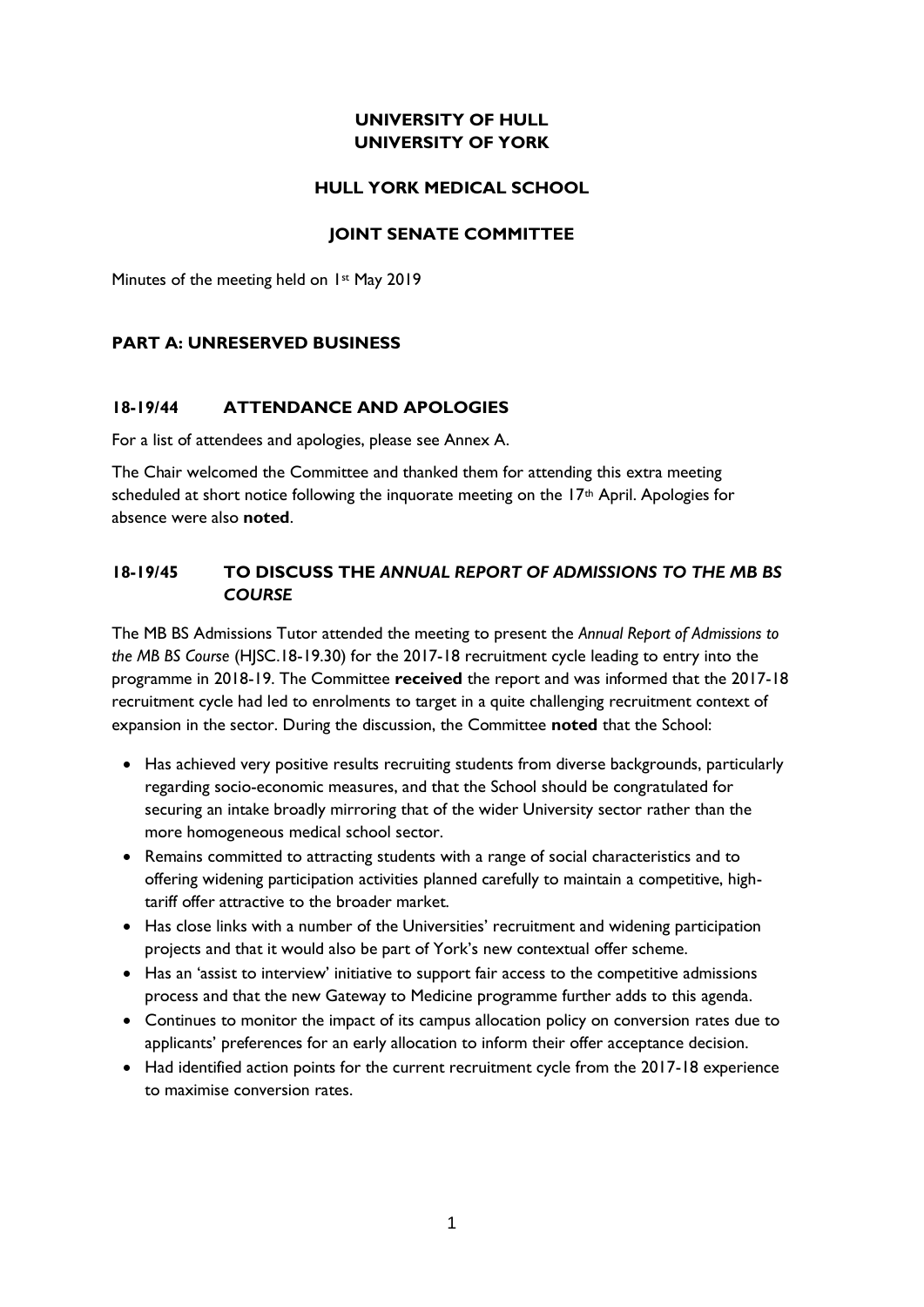## **UNIVERSITY OF HULL UNIVERSITY OF YORK**

### **HULL YORK MEDICAL SCHOOL**

### **JOINT SENATE COMMITTEE**

Minutes of the meeting held on 1st May 2019

### **PART A: UNRESERVED BUSINESS**

### **18-19/44 ATTENDANCE AND APOLOGIES**

For a list of attendees and apologies, please see Annex A.

The Chair welcomed the Committee and thanked them for attending this extra meeting scheduled at short notice following the inquorate meeting on the  $17<sup>th</sup>$  April. Apologies for absence were also **noted**.

### **18-19/45 TO DISCUSS THE** *ANNUAL REPORT OF ADMISSIONS TO THE MB BS COURSE*

The MB BS Admissions Tutor attended the meeting to present the *Annual Report of Admissions to the MB BS Course* (HJSC.18-19.30) for the 2017-18 recruitment cycle leading to entry into the programme in 2018-19. The Committee **received** the report and was informed that the 2017-18 recruitment cycle had led to enrolments to target in a quite challenging recruitment context of expansion in the sector. During the discussion, the Committee **noted** that the School:

- Has achieved very positive results recruiting students from diverse backgrounds, particularly regarding socio-economic measures, and that the School should be congratulated for securing an intake broadly mirroring that of the wider University sector rather than the more homogeneous medical school sector.
- Remains committed to attracting students with a range of social characteristics and to offering widening participation activities planned carefully to maintain a competitive, hightariff offer attractive to the broader market.
- Has close links with a number of the Universities' recruitment and widening participation projects and that it would also be part of York's new contextual offer scheme.
- Has an 'assist to interview' initiative to support fair access to the competitive admissions process and that the new Gateway to Medicine programme further adds to this agenda.
- Continues to monitor the impact of its campus allocation policy on conversion rates due to applicants' preferences for an early allocation to inform their offer acceptance decision.
- Had identified action points for the current recruitment cycle from the 2017-18 experience to maximise conversion rates.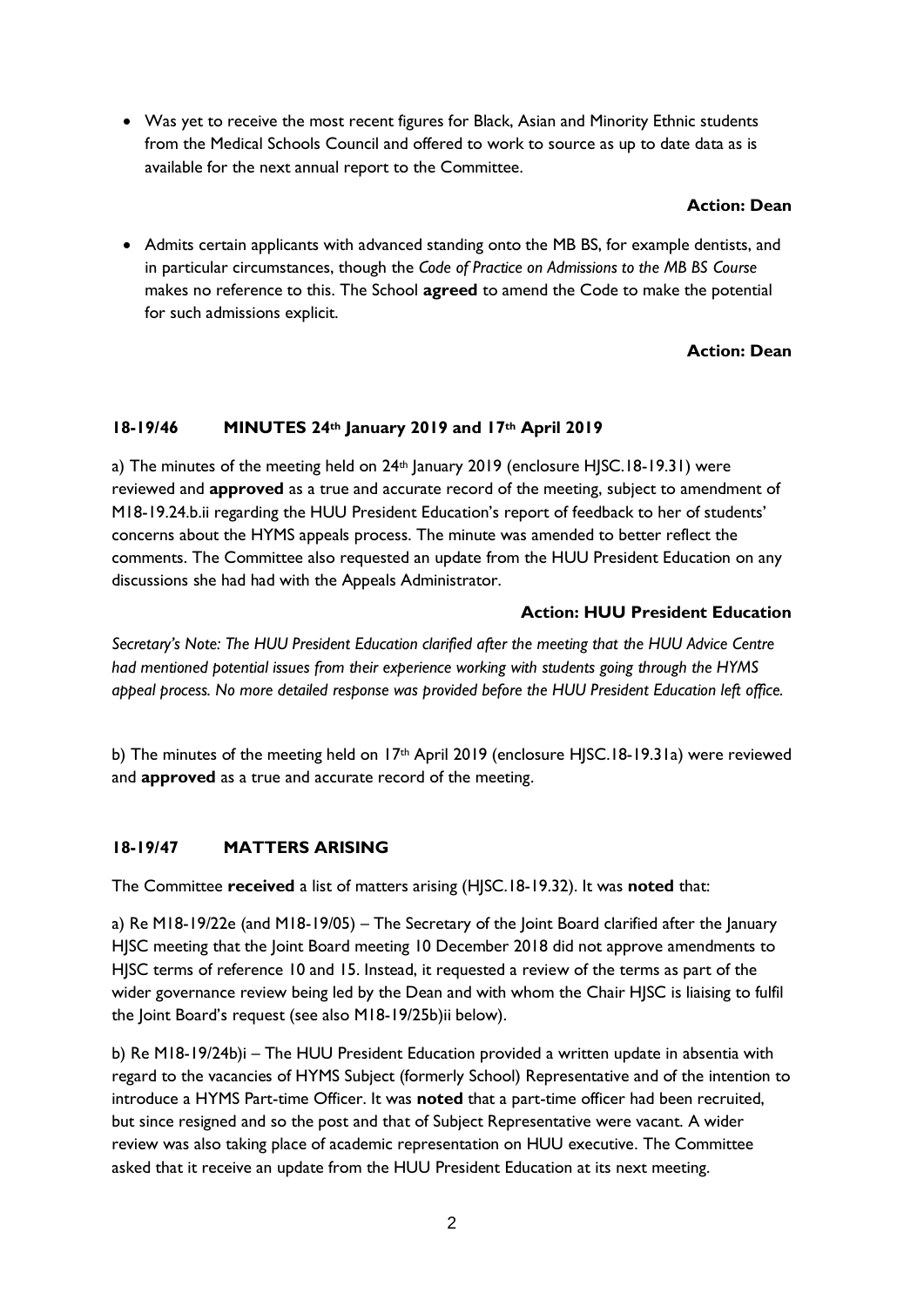Was yet to receive the most recent figures for Black, Asian and Minority Ethnic students from the Medical Schools Council and offered to work to source as up to date data as is available for the next annual report to the Committee.

### **Action: Dean**

 Admits certain applicants with advanced standing onto the MB BS, for example dentists, and in particular circumstances, though the *Code of Practice on Admissions to the MB BS Course* makes no reference to this. The School **agreed** to amend the Code to make the potential for such admissions explicit.

## **Action: Dean**

## **18-19/46 MINUTES 24th January 2019 and 17th April 2019**

a) The minutes of the meeting held on  $24<sup>th</sup>$  January 2019 (enclosure HJSC.18-19.31) were reviewed and **approved** as a true and accurate record of the meeting, subject to amendment of M18-19.24.b.ii regarding the HUU President Education's report of feedback to her of students' concerns about the HYMS appeals process. The minute was amended to better reflect the comments. The Committee also requested an update from the HUU President Education on any discussions she had had with the Appeals Administrator.

### **Action: HUU President Education**

*Secretary's Note: The HUU President Education clarified after the meeting that the HUU Advice Centre had mentioned potential issues from their experience working with students going through the HYMS appeal process. No more detailed response was provided before the HUU President Education left office.*

b) The minutes of the meeting held on 17<sup>th</sup> April 2019 (enclosure HJSC.18-19.31a) were reviewed and **approved** as a true and accurate record of the meeting.

## **18-19/47 MATTERS ARISING**

The Committee **received** a list of matters arising (HJSC.18-19.32). It was **noted** that:

a) Re M18-19/22e (and M18-19/05) – The Secretary of the Joint Board clarified after the January HJSC meeting that the Joint Board meeting 10 December 2018 did not approve amendments to HJSC terms of reference 10 and 15. Instead, it requested a review of the terms as part of the wider governance review being led by the Dean and with whom the Chair HJSC is liaising to fulfil the Joint Board's request (see also M18-19/25b)ii below).

b) Re M18-19/24b)i – The HUU President Education provided a written update in absentia with regard to the vacancies of HYMS Subject (formerly School) Representative and of the intention to introduce a HYMS Part-time Officer. It was **noted** that a part-time officer had been recruited, but since resigned and so the post and that of Subject Representative were vacant. A wider review was also taking place of academic representation on HUU executive. The Committee asked that it receive an update from the HUU President Education at its next meeting.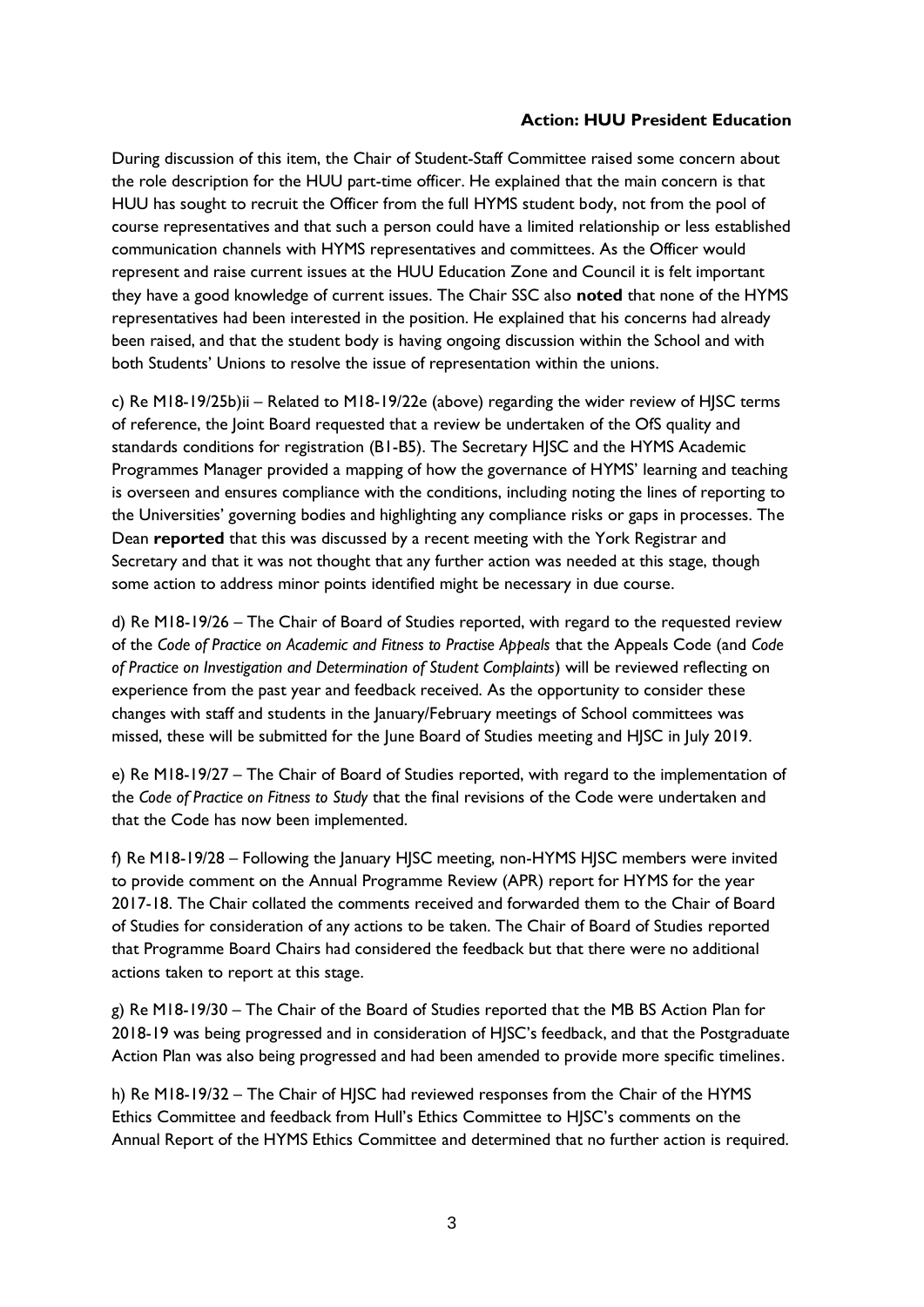#### **Action: HUU President Education**

During discussion of this item, the Chair of Student-Staff Committee raised some concern about the role description for the HUU part-time officer. He explained that the main concern is that HUU has sought to recruit the Officer from the full HYMS student body, not from the pool of course representatives and that such a person could have a limited relationship or less established communication channels with HYMS representatives and committees. As the Officer would represent and raise current issues at the HUU Education Zone and Council it is felt important they have a good knowledge of current issues. The Chair SSC also **noted** that none of the HYMS representatives had been interested in the position. He explained that his concerns had already been raised, and that the student body is having ongoing discussion within the School and with both Students' Unions to resolve the issue of representation within the unions.

c) Re M18-19/25b)ii – Related to M18-19/22e (above) regarding the wider review of HJSC terms of reference, the Joint Board requested that a review be undertaken of the OfS quality and standards conditions for registration (B1-B5). The Secretary HJSC and the HYMS Academic Programmes Manager provided a mapping of how the governance of HYMS' learning and teaching is overseen and ensures compliance with the conditions, including noting the lines of reporting to the Universities' governing bodies and highlighting any compliance risks or gaps in processes. The Dean **reported** that this was discussed by a recent meeting with the York Registrar and Secretary and that it was not thought that any further action was needed at this stage, though some action to address minor points identified might be necessary in due course.

d) Re M18-19/26 – The Chair of Board of Studies reported, with regard to the requested review of the *Code of Practice on Academic and Fitness to Practise Appeals* that the Appeals Code (and *Code of Practice on Investigation and Determination of Student Complaints*) will be reviewed reflecting on experience from the past year and feedback received. As the opportunity to consider these changes with staff and students in the January/February meetings of School committees was missed, these will be submitted for the June Board of Studies meeting and HJSC in July 2019.

e) Re M18-19/27 – The Chair of Board of Studies reported, with regard to the implementation of the *Code of Practice on Fitness to Study* that the final revisions of the Code were undertaken and that the Code has now been implemented.

f) Re M18-19/28 – Following the January HJSC meeting, non-HYMS HJSC members were invited to provide comment on the Annual Programme Review (APR) report for HYMS for the year 2017-18. The Chair collated the comments received and forwarded them to the Chair of Board of Studies for consideration of any actions to be taken. The Chair of Board of Studies reported that Programme Board Chairs had considered the feedback but that there were no additional actions taken to report at this stage.

g) Re M18-19/30 – The Chair of the Board of Studies reported that the MB BS Action Plan for 2018-19 was being progressed and in consideration of HJSC's feedback, and that the Postgraduate Action Plan was also being progressed and had been amended to provide more specific timelines.

h) Re M18-19/32 – The Chair of HJSC had reviewed responses from the Chair of the HYMS Ethics Committee and feedback from Hull's Ethics Committee to HJSC's comments on the Annual Report of the HYMS Ethics Committee and determined that no further action is required.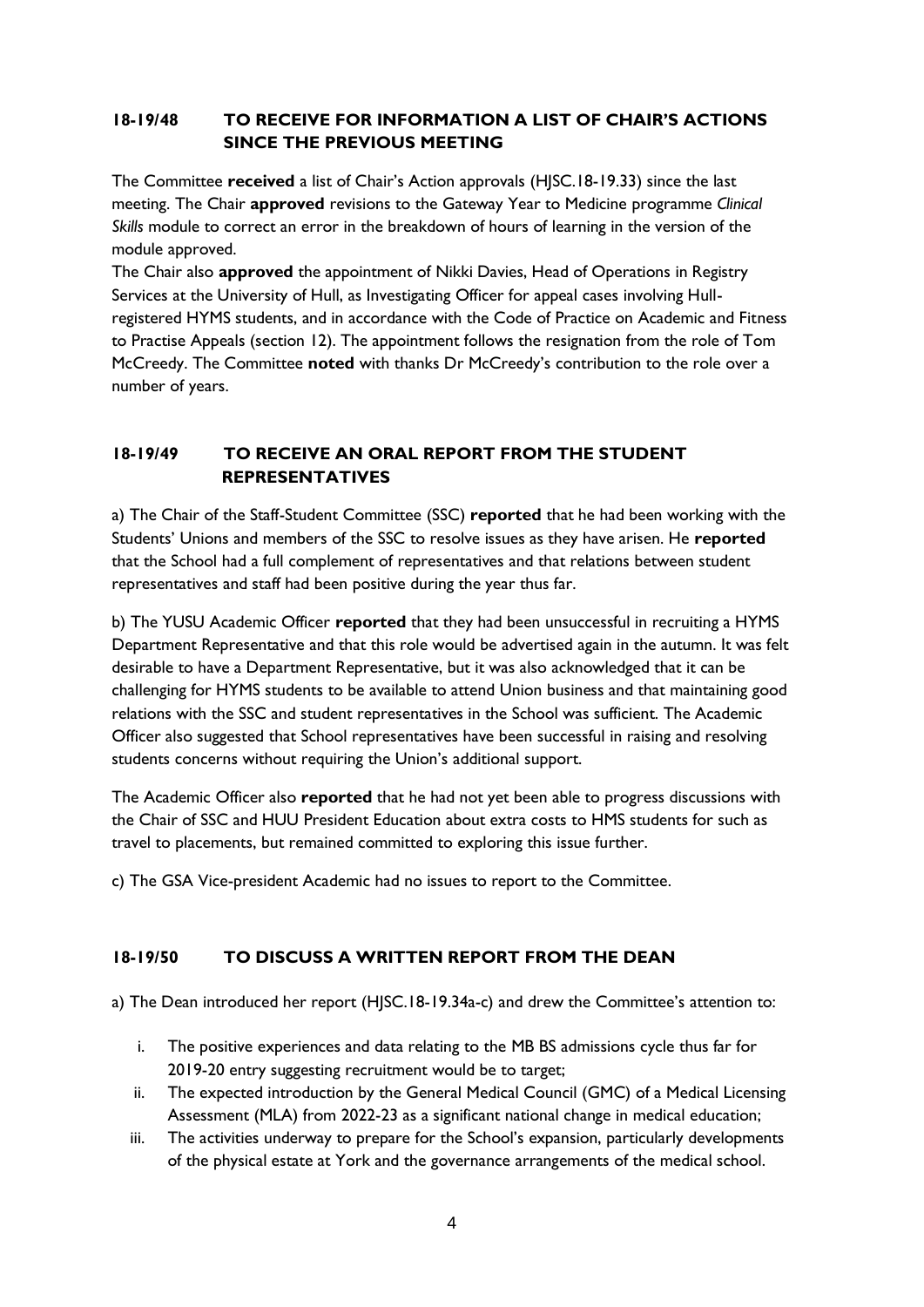## **18-19/48 TO RECEIVE FOR INFORMATION A LIST OF CHAIR'S ACTIONS SINCE THE PREVIOUS MEETING**

The Committee **received** a list of Chair's Action approvals (HJSC.18-19.33) since the last meeting. The Chair **approved** revisions to the Gateway Year to Medicine programme *Clinical Skills* module to correct an error in the breakdown of hours of learning in the version of the module approved.

The Chair also **approved** the appointment of Nikki Davies, Head of Operations in Registry Services at the University of Hull, as Investigating Officer for appeal cases involving Hullregistered HYMS students, and in accordance with the Code of Practice on Academic and Fitness to Practise Appeals (section 12). The appointment follows the resignation from the role of Tom McCreedy. The Committee **noted** with thanks Dr McCreedy's contribution to the role over a number of years.

# **18-19/49 TO RECEIVE AN ORAL REPORT FROM THE STUDENT REPRESENTATIVES**

a) The Chair of the Staff-Student Committee (SSC) **reported** that he had been working with the Students' Unions and members of the SSC to resolve issues as they have arisen. He **reported**  that the School had a full complement of representatives and that relations between student representatives and staff had been positive during the year thus far.

b) The YUSU Academic Officer **reported** that they had been unsuccessful in recruiting a HYMS Department Representative and that this role would be advertised again in the autumn. It was felt desirable to have a Department Representative, but it was also acknowledged that it can be challenging for HYMS students to be available to attend Union business and that maintaining good relations with the SSC and student representatives in the School was sufficient. The Academic Officer also suggested that School representatives have been successful in raising and resolving students concerns without requiring the Union's additional support.

The Academic Officer also **reported** that he had not yet been able to progress discussions with the Chair of SSC and HUU President Education about extra costs to HMS students for such as travel to placements, but remained committed to exploring this issue further.

c) The GSA Vice-president Academic had no issues to report to the Committee.

## **18-19/50 TO DISCUSS A WRITTEN REPORT FROM THE DEAN**

a) The Dean introduced her report (HJSC.18-19.34a-c) and drew the Committee's attention to:

- i. The positive experiences and data relating to the MB BS admissions cycle thus far for 2019-20 entry suggesting recruitment would be to target;
- ii. The expected introduction by the General Medical Council (GMC) of a Medical Licensing Assessment (MLA) from 2022-23 as a significant national change in medical education;
- iii. The activities underway to prepare for the School's expansion, particularly developments of the physical estate at York and the governance arrangements of the medical school.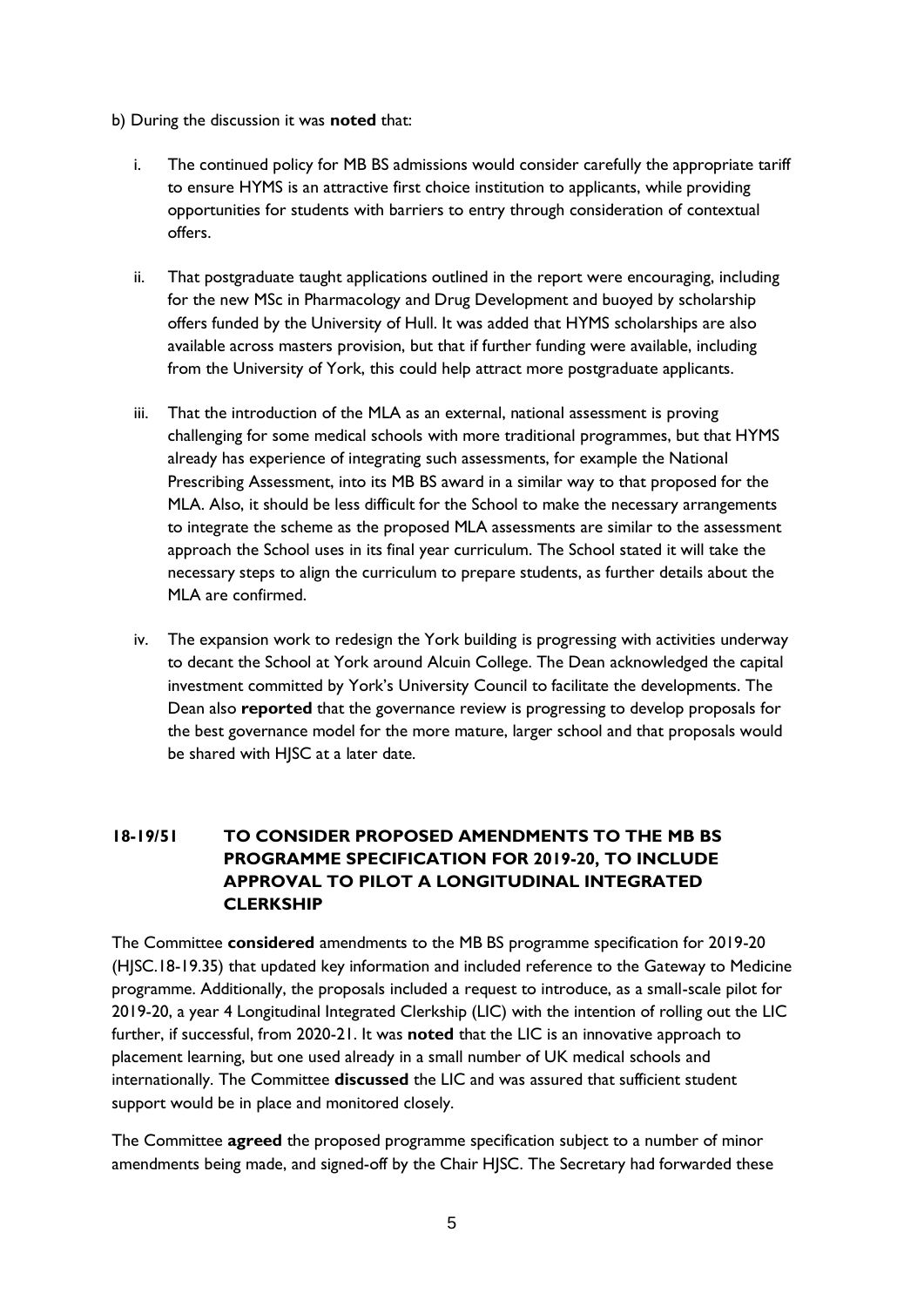- b) During the discussion it was **noted** that:
	- i. The continued policy for MB BS admissions would consider carefully the appropriate tariff to ensure HYMS is an attractive first choice institution to applicants, while providing opportunities for students with barriers to entry through consideration of contextual offers.
	- ii. That postgraduate taught applications outlined in the report were encouraging, including for the new MSc in Pharmacology and Drug Development and buoyed by scholarship offers funded by the University of Hull. It was added that HYMS scholarships are also available across masters provision, but that if further funding were available, including from the University of York, this could help attract more postgraduate applicants.
	- iii. That the introduction of the MLA as an external, national assessment is proving challenging for some medical schools with more traditional programmes, but that HYMS already has experience of integrating such assessments, for example the National Prescribing Assessment, into its MB BS award in a similar way to that proposed for the MLA. Also, it should be less difficult for the School to make the necessary arrangements to integrate the scheme as the proposed MLA assessments are similar to the assessment approach the School uses in its final year curriculum. The School stated it will take the necessary steps to align the curriculum to prepare students, as further details about the MLA are confirmed.
	- iv. The expansion work to redesign the York building is progressing with activities underway to decant the School at York around Alcuin College. The Dean acknowledged the capital investment committed by York's University Council to facilitate the developments. The Dean also **reported** that the governance review is progressing to develop proposals for the best governance model for the more mature, larger school and that proposals would be shared with HJSC at a later date.

## **18-19/51 TO CONSIDER PROPOSED AMENDMENTS TO THE MB BS PROGRAMME SPECIFICATION FOR 2019-20, TO INCLUDE APPROVAL TO PILOT A LONGITUDINAL INTEGRATED CLERKSHIP**

The Committee **considered** amendments to the MB BS programme specification for 2019-20 (HJSC.18-19.35) that updated key information and included reference to the Gateway to Medicine programme. Additionally, the proposals included a request to introduce, as a small-scale pilot for 2019-20, a year 4 Longitudinal Integrated Clerkship (LIC) with the intention of rolling out the LIC further, if successful, from 2020-21. It was **noted** that the LIC is an innovative approach to placement learning, but one used already in a small number of UK medical schools and internationally. The Committee **discussed** the LIC and was assured that sufficient student support would be in place and monitored closely.

The Committee **agreed** the proposed programme specification subject to a number of minor amendments being made, and signed-off by the Chair HJSC. The Secretary had forwarded these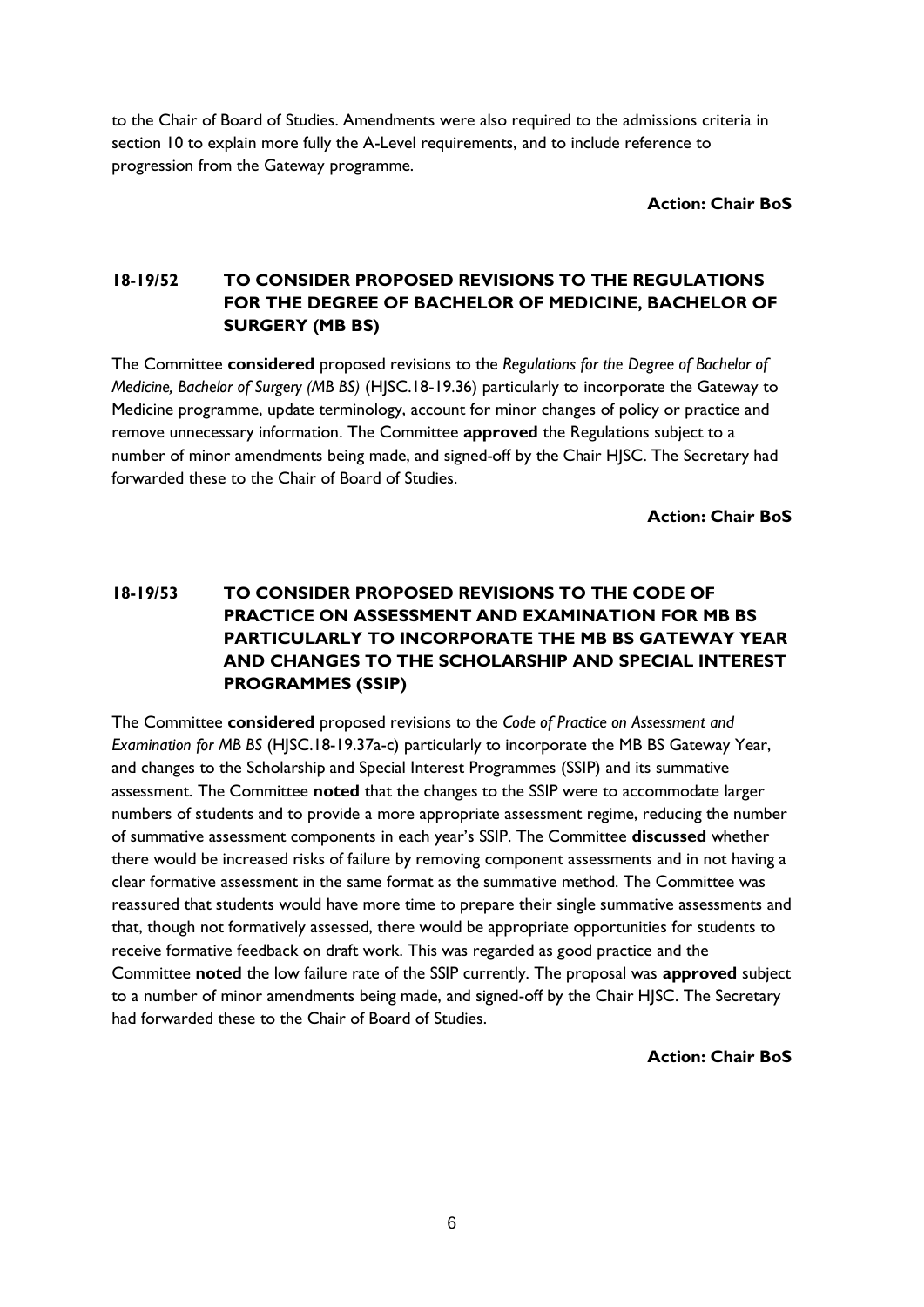to the Chair of Board of Studies. Amendments were also required to the admissions criteria in section 10 to explain more fully the A-Level requirements, and to include reference to progression from the Gateway programme.

**Action: Chair BoS**

## **18-19/52 TO CONSIDER PROPOSED REVISIONS TO THE REGULATIONS FOR THE DEGREE OF BACHELOR OF MEDICINE, BACHELOR OF SURGERY (MB BS)**

The Committee **considered** proposed revisions to the *Regulations for the Degree of Bachelor of Medicine, Bachelor of Surgery (MB BS)* (HJSC.18-19.36) particularly to incorporate the Gateway to Medicine programme, update terminology, account for minor changes of policy or practice and remove unnecessary information. The Committee **approved** the Regulations subject to a number of minor amendments being made, and signed-off by the Chair HJSC. The Secretary had forwarded these to the Chair of Board of Studies.

**Action: Chair BoS**

# **18-19/53 TO CONSIDER PROPOSED REVISIONS TO THE CODE OF PRACTICE ON ASSESSMENT AND EXAMINATION FOR MB BS PARTICULARLY TO INCORPORATE THE MB BS GATEWAY YEAR AND CHANGES TO THE SCHOLARSHIP AND SPECIAL INTEREST PROGRAMMES (SSIP)**

The Committee **considered** proposed revisions to the *Code of Practice on Assessment and Examination for MB BS* (HJSC.18-19.37a-c) particularly to incorporate the MB BS Gateway Year, and changes to the Scholarship and Special Interest Programmes (SSIP) and its summative assessment. The Committee **noted** that the changes to the SSIP were to accommodate larger numbers of students and to provide a more appropriate assessment regime, reducing the number of summative assessment components in each year's SSIP. The Committee **discussed** whether there would be increased risks of failure by removing component assessments and in not having a clear formative assessment in the same format as the summative method. The Committee was reassured that students would have more time to prepare their single summative assessments and that, though not formatively assessed, there would be appropriate opportunities for students to receive formative feedback on draft work. This was regarded as good practice and the Committee **noted** the low failure rate of the SSIP currently. The proposal was **approved** subject to a number of minor amendments being made, and signed-off by the Chair HJSC. The Secretary had forwarded these to the Chair of Board of Studies.

**Action: Chair BoS**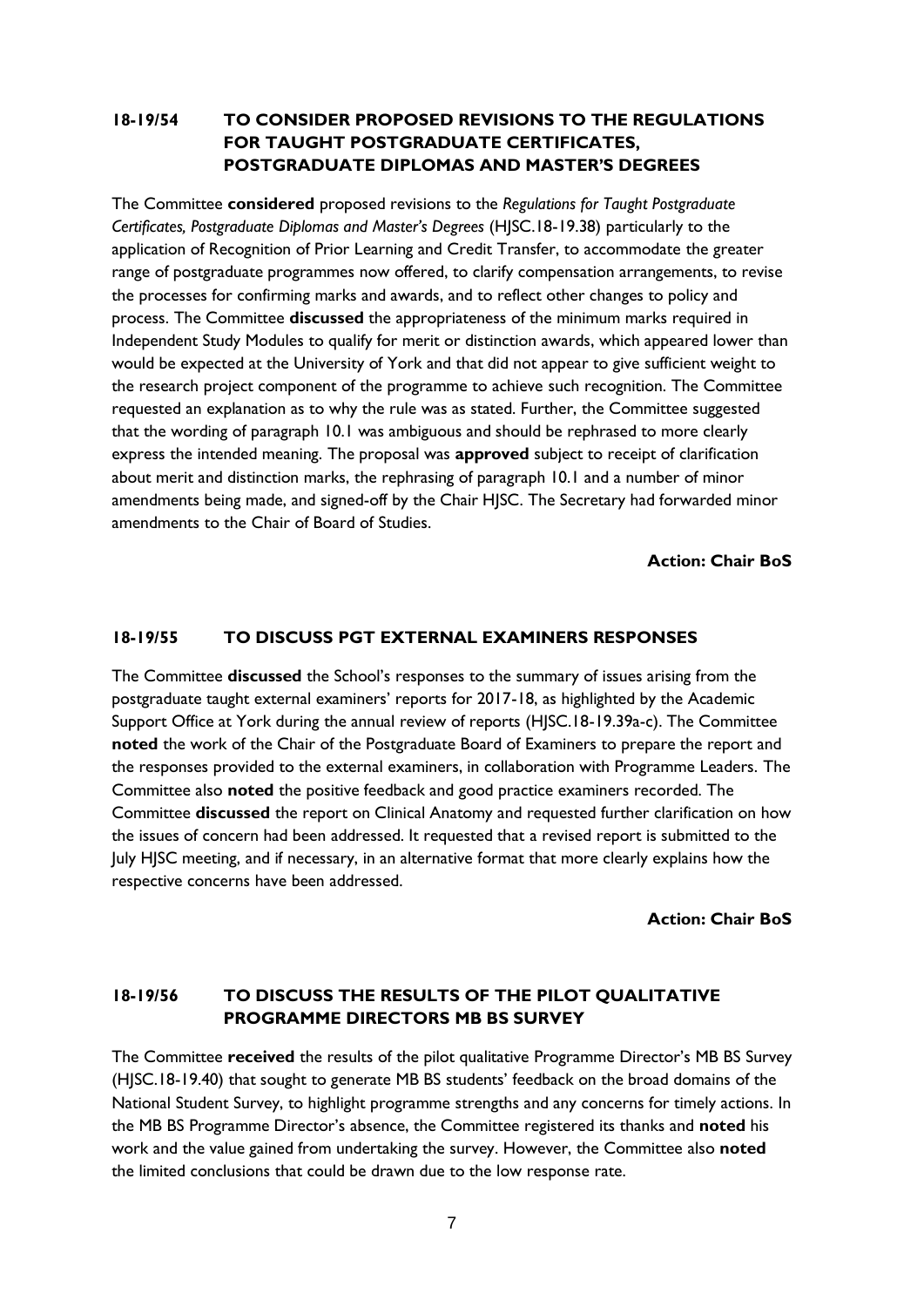## **18-19/54 TO CONSIDER PROPOSED REVISIONS TO THE REGULATIONS FOR TAUGHT POSTGRADUATE CERTIFICATES, POSTGRADUATE DIPLOMAS AND MASTER'S DEGREES**

The Committee **considered** proposed revisions to the *Regulations for Taught Postgraduate Certificates, Postgraduate Diplomas and Master's Degrees* (HJSC.18-19.38) particularly to the application of Recognition of Prior Learning and Credit Transfer, to accommodate the greater range of postgraduate programmes now offered, to clarify compensation arrangements, to revise the processes for confirming marks and awards, and to reflect other changes to policy and process. The Committee **discussed** the appropriateness of the minimum marks required in Independent Study Modules to qualify for merit or distinction awards, which appeared lower than would be expected at the University of York and that did not appear to give sufficient weight to the research project component of the programme to achieve such recognition. The Committee requested an explanation as to why the rule was as stated. Further, the Committee suggested that the wording of paragraph 10.1 was ambiguous and should be rephrased to more clearly express the intended meaning. The proposal was **approved** subject to receipt of clarification about merit and distinction marks, the rephrasing of paragraph 10.1 and a number of minor amendments being made, and signed-off by the Chair HJSC. The Secretary had forwarded minor amendments to the Chair of Board of Studies.

**Action: Chair BoS**

### **18-19/55 TO DISCUSS PGT EXTERNAL EXAMINERS RESPONSES**

The Committee **discussed** the School's responses to the summary of issues arising from the postgraduate taught external examiners' reports for 2017-18, as highlighted by the Academic Support Office at York during the annual review of reports (HJSC.18-19.39a-c). The Committee **noted** the work of the Chair of the Postgraduate Board of Examiners to prepare the report and the responses provided to the external examiners, in collaboration with Programme Leaders. The Committee also **noted** the positive feedback and good practice examiners recorded. The Committee **discussed** the report on Clinical Anatomy and requested further clarification on how the issues of concern had been addressed. It requested that a revised report is submitted to the July HJSC meeting, and if necessary, in an alternative format that more clearly explains how the respective concerns have been addressed.

**Action: Chair BoS**

# **18-19/56 TO DISCUSS THE RESULTS OF THE PILOT QUALITATIVE PROGRAMME DIRECTORS MB BS SURVEY**

The Committee **received** the results of the pilot qualitative Programme Director's MB BS Survey (HJSC.18-19.40) that sought to generate MB BS students' feedback on the broad domains of the National Student Survey, to highlight programme strengths and any concerns for timely actions. In the MB BS Programme Director's absence, the Committee registered its thanks and **noted** his work and the value gained from undertaking the survey. However, the Committee also **noted**  the limited conclusions that could be drawn due to the low response rate.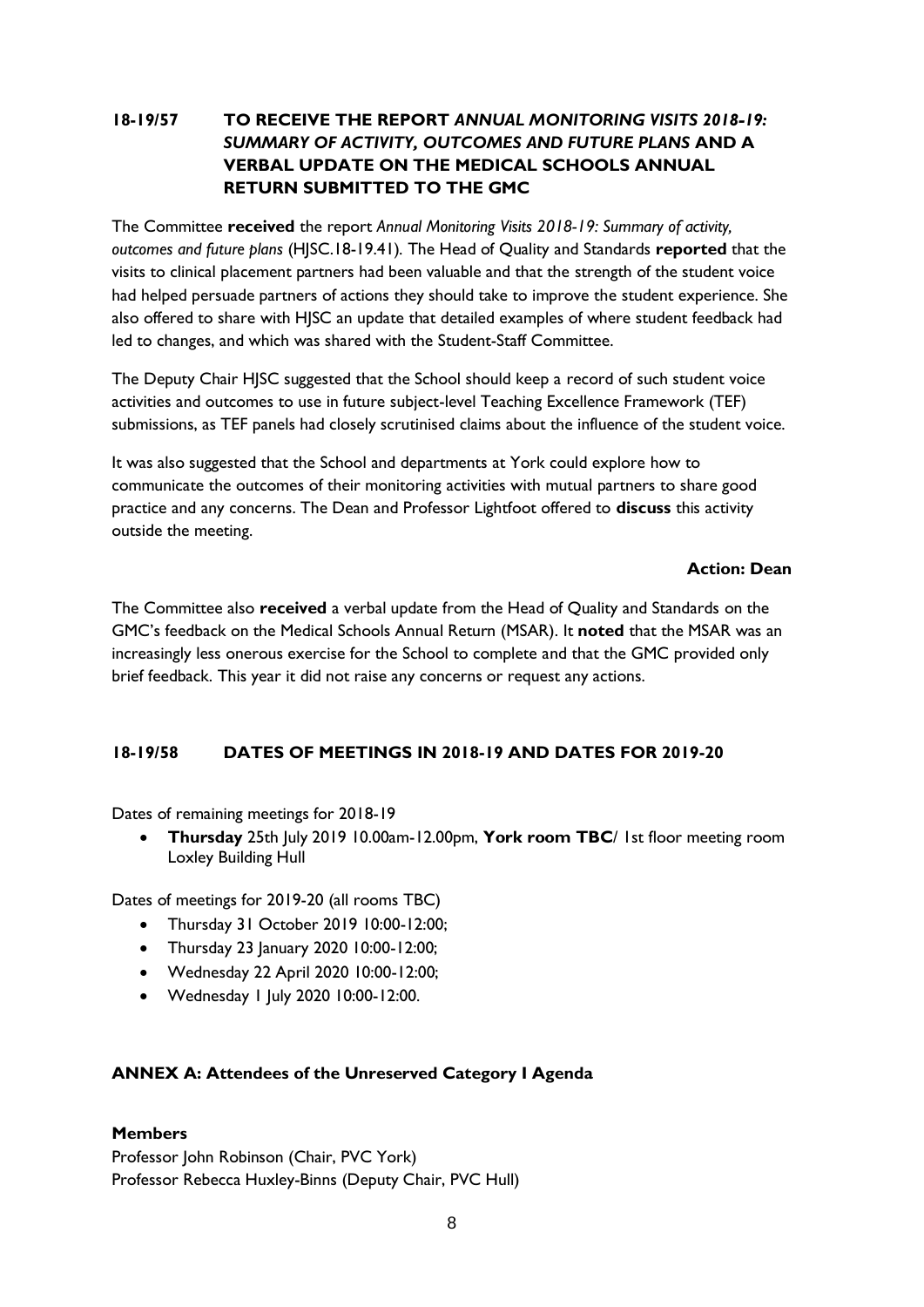## **18-19/57 TO RECEIVE THE REPORT** *ANNUAL MONITORING VISITS 2018-19: SUMMARY OF ACTIVITY, OUTCOMES AND FUTURE PLANS* **AND A VERBAL UPDATE ON THE MEDICAL SCHOOLS ANNUAL RETURN SUBMITTED TO THE GMC**

The Committee **received** the report *Annual Monitoring Visits 2018-19: Summary of activity, outcomes and future plans* (HJSC.18-19.41)*.* The Head of Quality and Standards **reported** that the visits to clinical placement partners had been valuable and that the strength of the student voice had helped persuade partners of actions they should take to improve the student experience. She also offered to share with HJSC an update that detailed examples of where student feedback had led to changes, and which was shared with the Student-Staff Committee.

The Deputy Chair HJSC suggested that the School should keep a record of such student voice activities and outcomes to use in future subject-level Teaching Excellence Framework (TEF) submissions, as TEF panels had closely scrutinised claims about the influence of the student voice.

It was also suggested that the School and departments at York could explore how to communicate the outcomes of their monitoring activities with mutual partners to share good practice and any concerns. The Dean and Professor Lightfoot offered to **discuss** this activity outside the meeting.

### **Action: Dean**

The Committee also **received** a verbal update from the Head of Quality and Standards on the GMC's feedback on the Medical Schools Annual Return (MSAR). It **noted** that the MSAR was an increasingly less onerous exercise for the School to complete and that the GMC provided only brief feedback. This year it did not raise any concerns or request any actions.

### **18-19/58 DATES OF MEETINGS IN 2018-19 AND DATES FOR 2019-20**

Dates of remaining meetings for 2018-19

 **Thursday** 25th July 2019 10.00am-12.00pm, **York room TBC**/ 1st floor meeting room Loxley Building Hull

Dates of meetings for 2019-20 (all rooms TBC)

- Thursday 31 October 2019 10:00-12:00;
- Thursday 23 January 2020 10:00-12:00;
- Wednesday 22 April 2020 10:00-12:00;
- Wednesday 1 July 2020 10:00-12:00.

### **ANNEX A: Attendees of the Unreserved Category I Agenda**

### **Members**

Professor John Robinson (Chair, PVC York) Professor Rebecca Huxley-Binns (Deputy Chair, PVC Hull)